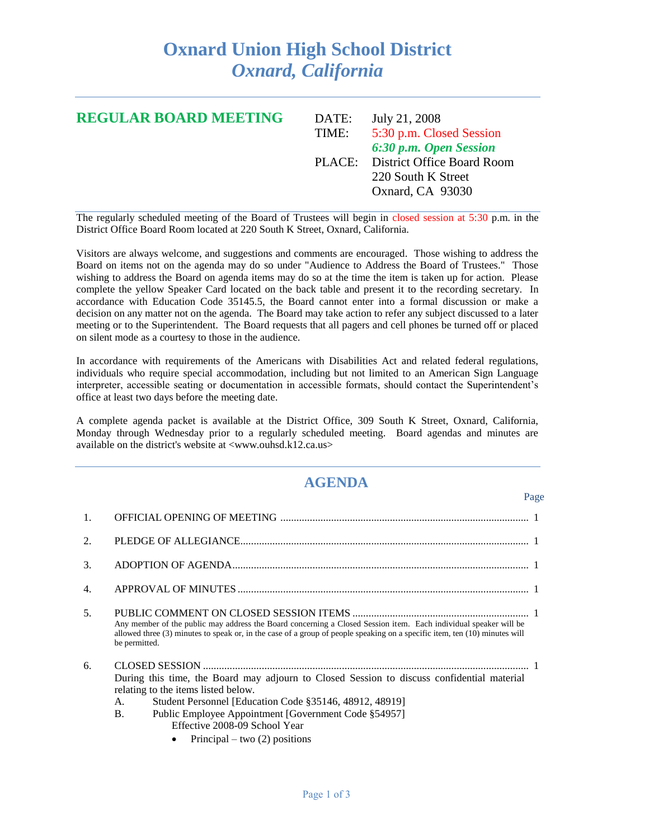## **Oxnard Union High School District** *Oxnard, California*

| <b>REGULAR BOARD MEETING</b> | DATE: | July 21, 2008                     |
|------------------------------|-------|-----------------------------------|
|                              | TIME: | 5:30 p.m. Closed Session          |
|                              |       | 6:30 p.m. Open Session            |
|                              |       | PLACE: District Office Board Room |
|                              |       | 220 South K Street                |
|                              |       | Oxnard, CA 93030                  |
|                              |       |                                   |

The regularly scheduled meeting of the Board of Trustees will begin in closed session at 5:30 p.m. in the District Office Board Room located at 220 South K Street, Oxnard, California.

Visitors are always welcome, and suggestions and comments are encouraged. Those wishing to address the Board on items not on the agenda may do so under "Audience to Address the Board of Trustees." Those wishing to address the Board on agenda items may do so at the time the item is taken up for action. Please complete the yellow Speaker Card located on the back table and present it to the recording secretary. In accordance with Education Code 35145.5, the Board cannot enter into a formal discussion or make a decision on any matter not on the agenda. The Board may take action to refer any subject discussed to a later meeting or to the Superintendent. The Board requests that all pagers and cell phones be turned off or placed on silent mode as a courtesy to those in the audience.

In accordance with requirements of the Americans with Disabilities Act and related federal regulations, individuals who require special accommodation, including but not limited to an American Sign Language interpreter, accessible seating or documentation in accessible formats, should contact the Superintendent's office at least two days before the meeting date.

A complete agenda packet is available at the District Office, 309 South K Street, Oxnard, California, Monday through Wednesday prior to a regularly scheduled meeting. Board agendas and minutes are available on the district's website at <www.ouhsd.k12.ca.us>

## **AGENDA**

Page

| 1.               |                                                                                                                                                                                                                                                                                                                                             |  |
|------------------|---------------------------------------------------------------------------------------------------------------------------------------------------------------------------------------------------------------------------------------------------------------------------------------------------------------------------------------------|--|
| 2.               |                                                                                                                                                                                                                                                                                                                                             |  |
| 3.               |                                                                                                                                                                                                                                                                                                                                             |  |
| $\overline{4}$ . |                                                                                                                                                                                                                                                                                                                                             |  |
| 5.               | Any member of the public may address the Board concerning a Closed Session item. Each individual speaker will be<br>allowed three (3) minutes to speak or, in the case of a group of people speaking on a specific item, ten (10) minutes will<br>be permitted.                                                                             |  |
| 6.               | During this time, the Board may adjourn to Closed Session to discuss confidential material<br>relating to the items listed below.<br>Student Personnel [Education Code §35146, 48912, 48919]<br>А.<br><b>B.</b><br>Public Employee Appointment [Government Code §54957]<br>Effective 2008-09 School Year<br>Principal – two $(2)$ positions |  |
|                  |                                                                                                                                                                                                                                                                                                                                             |  |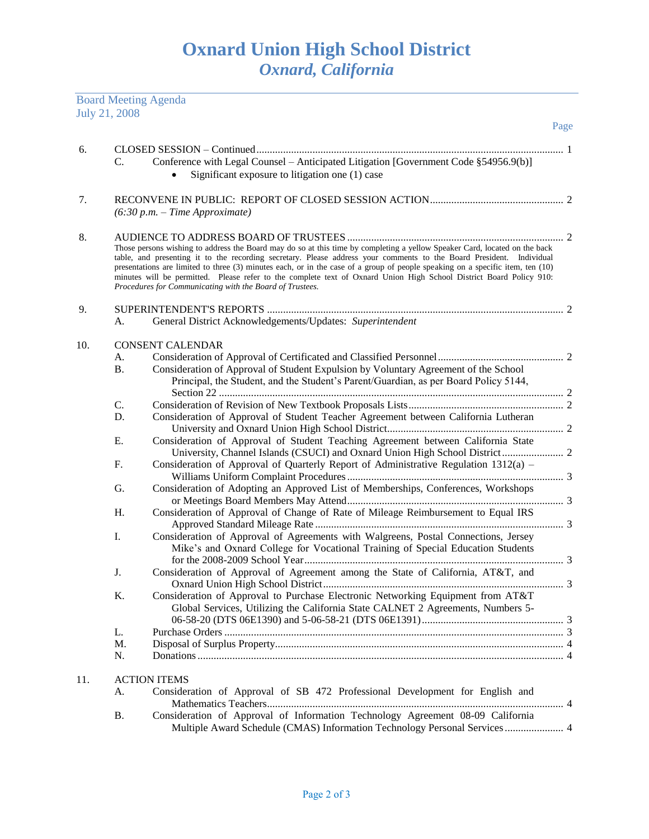Board Meeting Agenda

| July 21, 2008 |                                                                                                                                                                                                                                                                                                                                                                                                                                                                                                                                                                         | Page                                                                                                                                                                        |  |  |  |
|---------------|-------------------------------------------------------------------------------------------------------------------------------------------------------------------------------------------------------------------------------------------------------------------------------------------------------------------------------------------------------------------------------------------------------------------------------------------------------------------------------------------------------------------------------------------------------------------------|-----------------------------------------------------------------------------------------------------------------------------------------------------------------------------|--|--|--|
|               |                                                                                                                                                                                                                                                                                                                                                                                                                                                                                                                                                                         |                                                                                                                                                                             |  |  |  |
| 6.            | C.                                                                                                                                                                                                                                                                                                                                                                                                                                                                                                                                                                      | Conference with Legal Counsel - Anticipated Litigation [Government Code §54956.9(b)]<br>Significant exposure to litigation one (1) case                                     |  |  |  |
| 7.            | $(6:30 p.m. - Time Approximate)$                                                                                                                                                                                                                                                                                                                                                                                                                                                                                                                                        |                                                                                                                                                                             |  |  |  |
| 8.            | Those persons wishing to address the Board may do so at this time by completing a yellow Speaker Card, located on the back<br>table, and presenting it to the recording secretary. Please address your comments to the Board President. Individual<br>presentations are limited to three (3) minutes each, or in the case of a group of people speaking on a specific item, ten (10)<br>minutes will be permitted. Please refer to the complete text of Oxnard Union High School District Board Policy 910:<br>Procedures for Communicating with the Board of Trustees. |                                                                                                                                                                             |  |  |  |
| 9.            |                                                                                                                                                                                                                                                                                                                                                                                                                                                                                                                                                                         |                                                                                                                                                                             |  |  |  |
|               | А.                                                                                                                                                                                                                                                                                                                                                                                                                                                                                                                                                                      | General District Acknowledgements/Updates: Superintendent                                                                                                                   |  |  |  |
|               |                                                                                                                                                                                                                                                                                                                                                                                                                                                                                                                                                                         |                                                                                                                                                                             |  |  |  |
| 10.           | A.                                                                                                                                                                                                                                                                                                                                                                                                                                                                                                                                                                      | <b>CONSENT CALENDAR</b>                                                                                                                                                     |  |  |  |
|               | В.                                                                                                                                                                                                                                                                                                                                                                                                                                                                                                                                                                      | Consideration of Approval of Student Expulsion by Voluntary Agreement of the School<br>Principal, the Student, and the Student's Parent/Guardian, as per Board Policy 5144, |  |  |  |
|               | C.                                                                                                                                                                                                                                                                                                                                                                                                                                                                                                                                                                      |                                                                                                                                                                             |  |  |  |
|               | D.                                                                                                                                                                                                                                                                                                                                                                                                                                                                                                                                                                      | Consideration of Approval of Student Teacher Agreement between California Lutheran                                                                                          |  |  |  |
|               |                                                                                                                                                                                                                                                                                                                                                                                                                                                                                                                                                                         |                                                                                                                                                                             |  |  |  |
|               | Е.                                                                                                                                                                                                                                                                                                                                                                                                                                                                                                                                                                      | Consideration of Approval of Student Teaching Agreement between California State                                                                                            |  |  |  |
|               | F.                                                                                                                                                                                                                                                                                                                                                                                                                                                                                                                                                                      | Consideration of Approval of Quarterly Report of Administrative Regulation 1312(a) -                                                                                        |  |  |  |
|               | G.                                                                                                                                                                                                                                                                                                                                                                                                                                                                                                                                                                      | Consideration of Adopting an Approved List of Memberships, Conferences, Workshops                                                                                           |  |  |  |
|               | Η.                                                                                                                                                                                                                                                                                                                                                                                                                                                                                                                                                                      | Consideration of Approval of Change of Rate of Mileage Reimbursement to Equal IRS                                                                                           |  |  |  |
|               | Ι.                                                                                                                                                                                                                                                                                                                                                                                                                                                                                                                                                                      | Consideration of Approval of Agreements with Walgreens, Postal Connections, Jersey<br>Mike's and Oxnard College for Vocational Training of Special Education Students       |  |  |  |
|               | J.                                                                                                                                                                                                                                                                                                                                                                                                                                                                                                                                                                      | Consideration of Approval of Agreement among the State of California, AT&T, and                                                                                             |  |  |  |
|               | K.                                                                                                                                                                                                                                                                                                                                                                                                                                                                                                                                                                      | Consideration of Approval to Purchase Electronic Networking Equipment from AT&T<br>Global Services, Utilizing the California State CALNET 2 Agreements, Numbers 5-          |  |  |  |
|               | L.                                                                                                                                                                                                                                                                                                                                                                                                                                                                                                                                                                      |                                                                                                                                                                             |  |  |  |
|               | M.                                                                                                                                                                                                                                                                                                                                                                                                                                                                                                                                                                      |                                                                                                                                                                             |  |  |  |
|               | N.                                                                                                                                                                                                                                                                                                                                                                                                                                                                                                                                                                      |                                                                                                                                                                             |  |  |  |
| 11.           |                                                                                                                                                                                                                                                                                                                                                                                                                                                                                                                                                                         | <b>ACTION ITEMS</b>                                                                                                                                                         |  |  |  |
|               | А.                                                                                                                                                                                                                                                                                                                                                                                                                                                                                                                                                                      | Consideration of Approval of SB 472 Professional Development for English and                                                                                                |  |  |  |
|               | <b>B.</b>                                                                                                                                                                                                                                                                                                                                                                                                                                                                                                                                                               | Consideration of Approval of Information Technology Agreement 08-09 California<br>Multiple Award Schedule (CMAS) Information Technology Personal Services  4                |  |  |  |